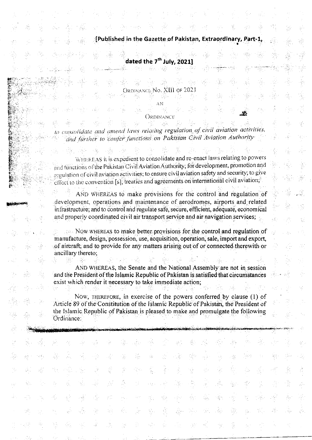[Published in the Gazette of Pakistan, Extraordinary, Part-1,

g.

gi.

SB.

)<br>126

Š,

Υ,

ĝ.

*국* 

읓

W

ýÍ,

Ą,

Ã

ý

 $\frac{\partial\psi}{\partial x}$ 

Ř

Ø,

38

 $\sum_{i=1}^n \alpha_i$ 

dated the 7<sup>th</sup> July, 2021]

ORDINANCE No. XIII OF 2021

AN

 $\sum_{\alpha=1}^{\infty} \delta_{\alpha}$ 

hч.

D)

tiĝo.

속을

송

Å,

k.

AG.

ago)

Ŵ.

25

했

病病

W

ý.<br>St

39

Ordinance

to consolidate and amend laws relating regulation of civil aviation activities, and further to confer functions on Pakistan Civil Aviation Authority

WHEREAS it is expedient to consolidate and re-enact laws relating to powers and functions of the Pakistan Civil Aviation Authority; for development, promotion and  $x$ egulation of civil aviation activities; to ensure civil aviation safety and security; to give effect to the convention [s], treaties and agreements on international civil aviation;

AND WHEREAS to make provisions for the control and regulation of development, operations and maintenance of aerodromes, airports and related infrastructure; and to control and regulate safe, secure, efficient, adequate, economical and properly coordinated civil air transport service and air navigation services;

Now WHEREAS to make better provisions for the control and regulation of manufacture, design, possession, use, acquisition, operation, sale, import and export, of aircraft; and to provide for any matters arising out of or connected therewith or ancillary thereto;

AND WHEREAS, the Senate and the National Assembly are not in session and the President of the Islamic Republic of Pakistan is satisfied that circumstances exist which render it necessary to take immediate action;

Now, THEREFORE, in exercise of the powers conferred by clause (1) of Article 89 of the Constitution of the Islamic Republic of Pakistan, the President of the Islamic Republic of Pakistan is pleased to make and promulgate the following Ordinance:

)<br>Ag

ŋ.

로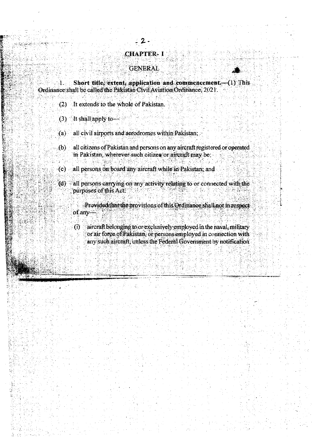#### Short title, extent, application and commencement. (1) This 1. Ordinance shall be called the Pakistan Civil Aviation Ordinance, 2021.

**CHAPTER-I** 

**GENERAL** 

- (2) It extends to the whole of Pakistan.
- $(3)$ It shall apply to  $-$
- $(a)$ all civil airports and aerodromes within Pakistan;
- $(b)$ all citizens of Pakistan and persons on any aircraft registered or operated in Pakistan, wherever such citizen or aircraft may be;
- all persons on board any aircraft while in Pakistan, and  $(c)$
- (d) all persons carrying on any activity relating to or connected with the purposes of this Act.
	- Provided that the provisions of this Ordinance shall not in respect of any-
	- aircraft belonging to or exclusively employed in the naval, military  $\ddot{\Omega}$ or air force of Pakistan, or persons employed in connection with any such aircraft, unless the Federal Government by notification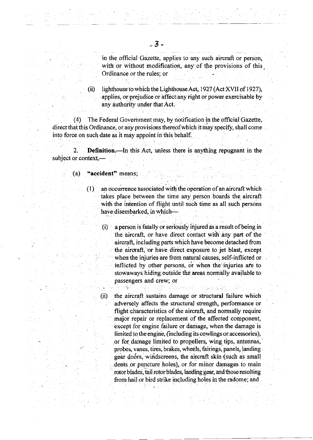in the official Gazette, applies to any such aircraft or person, with or without modification, any of the provisions of this Ordinance or the rules; or

(ii) lighthouse to which the Lighthouse Act,  $1927$  (Act XVII of 1927), applies, or prejudice or affect any right or power exercisable by any duthority under that Act.

(4) The Federal Govemment may, by notification in the official Gazette, direct that this Ordinance, or any provisions thereof which it may specify, shall come into force on such date as it may appoint in this behalf.

2. Definition.-In this Act, unless there is anything repugnant in the subject or context,-

 $(a)$  "accident" means;

(ii)

双方 一條部

- $(1)$  an occurrence associated with the operation of an aircraft which takes place between the time any person boards the aircraft with the intention of flight until such time as all such persons have disembarked, in which-
	- $(i)$ a person is fatally or seriously injured as a result of being in the aircraft, or have direct contact with any part of the aircraft, including parts which have become detached fiom the aircraft, or have direct exposure to jet blast, except when the injuries are from natural causes, self-inflicted or inflicted by other persons, or when the injuries are to stowaways hiding outside the areas normally available to passengers and crew; or

the aircraft sustains damage or structural failure which adversely affects the structural strength, performance or flight characteristics of fie aircraft, and normally require major repair or replacement of the affected component, except for engine failure or damage, when the damage is limited to the engine, (including its cowlings or accessories), or for damage limited to propellers, wing tips, antennas, probeg vanes, tires, brakes, wheels; fairings, panels, landing gear doors, windscreens, the aircraft skin (such as small dents or puncture holes), or for mibor damages to main rotor blades, tail rotor blades, landing gear, and those resulting from hail or bird strike including holes in the radome; and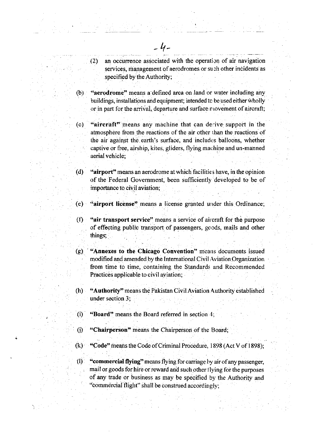(2) an occurence associated with the operation of air navigation services, management of aerodromes or such other incidents as specified by the Authority;

(b) "aerodrome" means a defined area on land or water including any buildings, installations and equipment; intended to be used either wholly or in part for the arrival, departure and surface movement of aircraft;

(c) "aircraft" means any machine that can derive support in the atmosphere from the reactions of the air other than the reactions of the air against the earth's surface, and includes balloons, whether captive or free, airship, kites, gliders, flying machine and un-manned aerial vehicle;

(d) "airport" means an aerodrome at which facilities have, in the opinion of the Federal Government, been sufhciently 'developed to be of importance to civil aviation;

(e) "airport license" means a license granted under this Ordinance;

({) "air transport service" means a service of air craft for the purpose of effecting public transport of passengers, goods, mails and other things;

 $(g)$ . "Annexes to the Chicago Convention" means documents issued modified and amended by the International Civil Aviation Organization . from time to time, containing the Standards and Recommended Practices applicable to civil aviation;

(h) "Authority" means the Pakistan CiviI Aviation Authority established under section 3;

(i) "Board" means the Board referred in section 4;

() "Chairperson' means the Chairperson of the Board;

 $(k)$  "Code" means the Code of Criminal Procedure, 1898 (Act V of 1898);

(l) "commercial flying" means flying for carriage by air of any passenger, mail or goods for hire or reward and such other flying for the purposes of any trade or business as may be specified by the Authority and "commercial flight" shall be construed accordingly;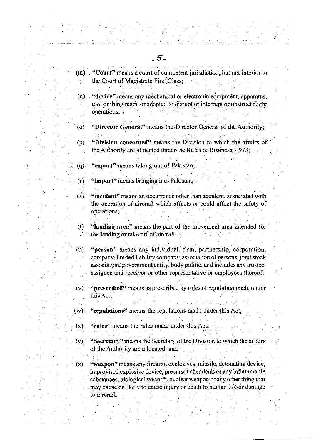- (m) "Court" means a court of competent jurisdiction, but not interior to the Court of Magistrate First Class;
- (n) "device" means any mechanical or electronic equipment, apparatus, tool or thing made or adapted to disrupt or interrupt or obstruct flight operations;
- (o) "Director General" means the Director General of the Authority;
- (p) "Division concerned" means the Division to which the affairs of ' the Authority are allocated under the Rules of Business, 1973;
- (q) "export" means taking out of Pakistan;
	- G) "import" means bringing into Pakistan;
- (s) "incident" means an occurrence other than accident, associated with the operation of aircraft which affects or could affect the safety of operations;
- (t) "landing area" means the part of the movement area intended for the landing or take off of aircraft;
- (u) "person" means any individual, firm, partnership, corporation, company, limited liability company, association of persons, joint stock association, government entity, body politic, and inoludes any trustee, assignee and receiver or other representative or employees thereof;
- (v) "prescribed'2 means as ptescribed by rules or regulation made under this Act;
- (w) "regulations" means the regulations made under this Act;
- $(x)$  "rules" means the rules made under this Act;
- (y) "Secretary" means the Secretary of the Division to which the affairs of the Authority are allocated; and
- (z) "weapon" means any firearm, explosives, missile, detonating device, improvised explosive device, precursor chemicals or any inflammable substances, biological weapon, nuclear weapon or any other thing that may cause or likely to cause injury or death to human life or damage to aircraft.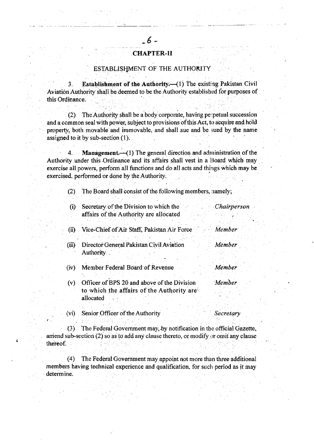# CHAPTER-II

### ESTABLISHMENT OF THE AUTHORITY

3. Establishment of the Authority.—(1) The existing Pakistan Civil Aviation Authority shall be deemed to be the Authority established for purposes of this Ordinance.

(2) The Authority shall be a body corporate, having perpetual succession and a common seal with poWer, subject to provisions of this Act, to acquire and hold property, both movable and immovable, and shall sue and be sued by the name assigned to it by sub-section  $(1)$ .

4. Management.  $\leftarrow$  (1) The general direction and administration of the Authority under this Ordinance and its affairs shall vest in a Board which may exercise all powers, perform all functions and do all acts and things which may be exercised, performed or done by the Authority.

(2) The Board shall consist of the following members, namely;

| (i)   | Secretary of the Division to which the<br>affairs of the Authority are allocated                      | Chairperson     |
|-------|-------------------------------------------------------------------------------------------------------|-----------------|
| (i)   | Vice-Chief of Air Staff, Pakistan Air Force                                                           | Member          |
| (iii) | Director General Pakistan Civil Aviation<br>Authority                                                 | Member          |
| (iv)  | Member Federal Board of Revenue                                                                       | Member          |
| (v)   | Officer of BPS 20 and above of the Division<br>to which the affairs of the Authority are<br>allocated | Member          |
|       | (vi) Senior Officer of the Authority                                                                  | <i>Secretar</i> |

(3) The Federal Government may, by notification in the official Gazette, amiend sub-section (2) so as to add any clause thereto, or modify or omit any clause thereof

i

(4) The Federal Government may appoint not more than three additional members having technical experience and qualification, for such period as it may determine.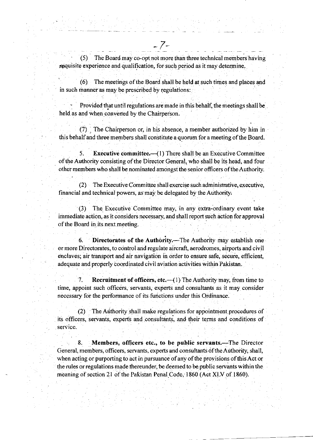$(5)$  The Board may co-opt not more than three technical members having. requisite experience and qualification, for such period as it may determine.

7

(6) The meetings ofthe Board shall be held at srich times and places and in such manner as may be prescribed by regulations:

Provided that until regulations are made in this behalf, the meetings shall be held as and when converted by the Chairperson.

(7) . The Chairperson or, in his absence, a member authorized by him in this behalf and three members shall constitute a quorum for a meeting of the Board.

5. Executive committee.—(1) There shall be an Executive Committee of the Authority consisting of the Director General, who shall be its head, and four other mernbers who shall be nominated amongst the senior officers of theAuthority.

(2) The Executive Committee shall exercise such administrative, executive, financial and technical powers, as may be delegated by the Authority,

(3) The Executive Committee may, in any extra-ordinary event take immediate action, as it considers necessary, and shall report such action for approval of the Board in its next meeting.

6. Directorates of the Authority.—The Authority may establish one or more Directorates, to control and regulate aircraft, aerodromes, airports and civil enclaves; air transport and air navigation in order to ensure safe, secure, efficient, adequate and properly coordinated civil aviation activities within Pakistan.

7. Recruitment of officers, etc. $-$ (1) The Authority may, from time to time, appoint such officers, servants, experts and consultants as it may consider necessary for the performance of its functions under this Ordinance.

(2) The Arithority shall make regulations for appointment procedures of its oflicers, servants, experts and .consultants, and their terms and conditions of service.

8. Members, officers etc., to be public servants.-The Director General, members, officers, servants, experts and consultants of the Authority, shall, when acting or purporting to act in pursuance of any of the provisions of this Act or the rules or regulations made thereunder, be deemed to be public servants within the meaning of section 21 of the Pakistan Penal Code, 1860 (Act XLV of 1860).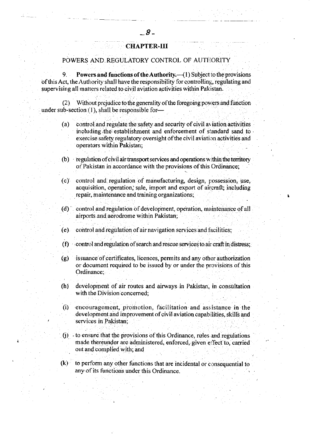## **CHAPTER-III**

### POWERS AND REGULATORY CONTROL OF AUTHORITY

Powers and functions of the Authority. $-(1)$  Subject to the provisions 9. of this Act, the Authority shall have the responsibility for controlling, regulating and supervising all matters related to civil aviation activities within Pakistan.

Without prejudice to the generality of the foregoing powers and function  $(2)$ under sub-section  $(1)$ , shall be responsible for-

- control and regulate the safety and security of civil aviation activities  $(a)$ including the establishment and enforcement of standard sand to exercise safety regulatory oversight of the civil aviation activities and operators within Pakistan;
- (b) regulation of civil air transport services and operations within the territory of Pakistan in accordance with the provisions of this Ordinance;

control and regulation of manufacturing, design, possession, use,  $(c)$ acquisition, operation, sale, import and export of aircraft; including repair, maintenance and training organizations;

- (d) control and regulation of development, operation, maintenance of all airports and aerodrome within Pakistan;
- control and regulation of air navigation services and facilities;  $(e)$
- (f) control and regulation of search and rescue services to air craft in distress;
- issuance of certificates, licences, permits and any other authorization  $(q)$ or document required to be issued by or under the provisions of this Ordinance:
- development of air routes and airways in Pakistan, in consultation  $(h)$ with the Division concerned;
- (i) encouragement, promotion, facilitation and assistance in the development and improvement of civil aviation capabilities, skills and services in Pakistan:
- $(i)$  to ensure that the provisions of this Ordinance, rules and regulations made thereunder are administered, enforced, given effect to, carried out and complied with; and
- $(k)$ to perform any other functions that are incidental or consequential to any of its functions under this Ordinance.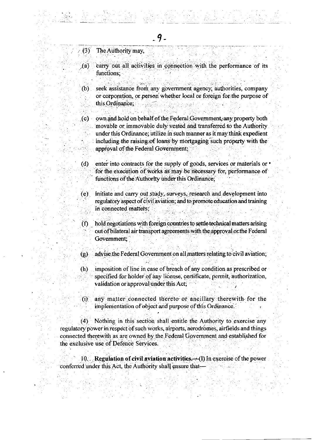- $(3)$ The Authority may,
- carry out all activities in connection with the performance of its  $\chi$  (a) functions:
- seek assistance from any government agency, authorities, company  $(b)$ or corporation, or person whether local or foreign for the purpose of this Ordinance; and this Ordinance;
- own and hold on behalf of the Federal Government, any property both  $\langle c \rangle$ movable or immovable duly vested and transferred to the Authority under this Ordinance; utilize in such manner as it may think expedient including the raising of loans by mortgaging such property with the approval of the Federal Government;  $\sim 10$
- $(d)$ enter into contracts for the supply of goods, services or materials or  $\cdot$ for the execution of works as may be necessary for, performance of functions of the Authority under this Ordinance;
- initiate and carry out study, surveys, research and development into  $(e)$ regulatory aspect of civil aviation; and to promote education and training in connected matters;
- hold negotiations with foreign countries to settle technical matters arising  $(f)$ out of bilateral air transport agreements with the approval or the Federal Government:
- advise the Federal Government on all matters relating to civil aviation.  $(g)$
- imposition of line in case of breach of any condition as prescribed or  $(h)$ specified for holder of any license, certificate, permit, authorization, validation or approval under this Act;
- any matter connected thereto or ancillary therewith for the  $\omega$ implementation of object and purpose of this Ordinance.

Nothing in this section shall entitle the Authority to exercise any  $(4)$ regulatory power in respect of such works, airports, aerodromes, airfields and things connected therewith as are owned by the Federal Government and established for the exclusive use of Defence Services.

10. Regulation of civil aviation activities.  $-(1)$  In exercise of the power conferred under this Act, the Authority shall ensure that-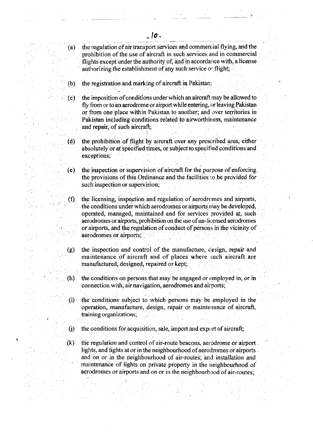- (a) the regulation of air transport services and commercial flying, and the prohibition of the use of aircraft in such services and in commercial flights except under the authority of, and in accordance with, a license authorizing the establishment of any such service or flight;
- (b) the registration and marking of aircraft in Pakistan:
- (c) the imposition of conditions under which an aircraft may be allowed to fly from or to an aerodrome or airport while entering, or leaving Pakistan or from one place within Pakistan to another; and over territories in Pakistan including conditions related to airworthiness, maintenance and repair, of such aircraft;
- (d) the prohibition of flight by aircraft over any prescribed area, either absolutely or at specified times, or subject to specified conditions and exceptions;
- (e) the inspection or supervision of aircraft for the purpose of enforcing the provisions of this Ordinance and the facilities to be provided for such inspection or supervision;
- $(f)$  the licensing, inspection and regulation of aerodromes and airports, the conditions under which aerodromes or airports may be developed, operated, managed, maintained and for services provided at, such aerodromes or airports, prohibition on the use of un-licensed aerodromes or airports, and the regulation of conduct of persons in the vicinity of aerodromes or airports;
- (g) the inspection and control of. the manufacture, ciesign, repair and maintenance of aircraft and of places where such aircraft are manufactured, designed, repaired or kept;
- $(h)$  the conditions on persons that may be engaged or employed in, or in connection with, air navigation, aerodromes and airports;
- (i) the conditions subject to which persons may be employed in the operation, manufacture, design, repair or maintenance of aircraft, training organizations;
- $(i)$  the conditions for acquisition, sale, import and export of aircraft;

t

 $(k)$  the regulation and control of air-route beacons, aerodrome or airport lights, and lights at or in the neighbourhood of aerodromes or airports and on or in the neighbourhood of air-routes; and installation and maintenance of lights on private property in the neighbourhood of aerodromes or airports and on or in the neighbourhood of air-routes;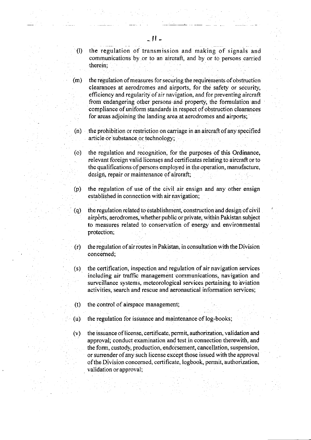0) the regulation of transmission and making of signals and communications by.or to an aircraft, and by or to persons carried therein;

 $(m)$  the regulation of measures for securing the requirements of obstruction clearanoes at aerodromes and airports, for the safety or security, efficiency and regularity of air navigation, and for preventing aircraft from endangering other persons and property, the formulation and compliance of uniform standards in respect of obstruction clearances for areas adjoining the landing area at aerodromes and airports;

 $(n)$  the prohibition or restriction on carriage in an aircraft of any specified article or substance or technology;

(o) the regulation and recognition, for the purposes of this Ordinance, relevant foreign valid licenses and certificates relating to aircraft or to the qualifications of persons employed in the operation, manufacture, design, repair or maintenance of aircraft;

(p) the regulation of use of the civil air ensign and any other ensign established in connection with air navigation;

(q) the regulation related to establishment, construction and design ofcivil airports, aerodromes, whether public or private, within Pakistan subject to measures related to conservation of energy and environmental protection:

 $(r)$  the regulation of air routes in Pakistan, in consultation with the Division concerned;

 $(s)$  the certification, inspection and regulation of air navigation services including air traffic management communications, navigation and surveillance systems, meteorological services pertaining to aviation activities, search and rescue and aeronautical information services;

- $(t)$  the control of airspace management;
- (u) the regulation for issuance and maintenance of  $log-books$ ;
- $(v)$  the issuance of license, certificate, permit, authorization, validation and approval; conduct examination and test in connection therewith, and the form, custody, production, endorsement, cancellation, suspension, or surrender ofany such license except those issued with the approval of the Division concerned, certificate, logbook, permit, authorization, validation or approval;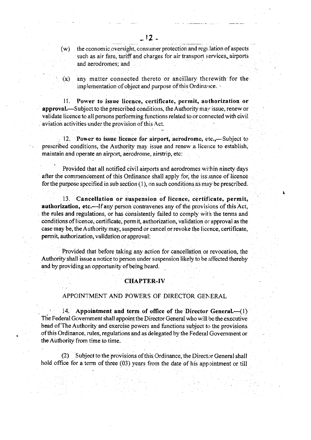$(w)$ the economic oversight, consumer protection and regulation of aspects such as air fare, tariff and charges for air transport services, airports and aerodromes; and

 $(x)$  any matter connected thereto or ancillary therewith for the implementation of object and purpose of this Ordinance.

ll. Power to issue licence, certificate, perrnit, authorization or approval.-Subject to the prescribed conditions, the Authority may issue, renew or validate Iicence to all persons performing functions related to or connected with civil aviation activities under the provision ofthis Act.

12. Power to issue licence for airport, aerodrome, etc.,—Subject to prescribed conditions, the Authority may issue and renew a licence to establish, maintain and operate an airport, aerodrome, airstrip, etc:

Provided that all notified civil airports and aerodromes wirhin ninety days after the commencement of this Ordinance shall apply for, the issuance of licence for the purpose specified in sub section  $(1)$ , on such conditions as may be prescribed.

L

13. Cancellation or suspension of licence, certificate, permit, authorization, etc.-If any person contravenes any of the provisions of this Act, the rules and regulations, or has consistently failed to comply with the terms and conditions of licence, certificate, permit, authorization, validation or approval as the case may be, the Authority may, suspend or cancel or revoke the licence, certificate, permit, authorization, validation or approval:

Provided that before taking any action for cancellation or revocation, the Authority shall issue a notice to person under suspension likely to be affected thereby and by providing an opportunity of being heard.

### CHAPTER.IV

### APPOINI'MENT AND POWERS OF DIRECTOR GENERAL

14. Appointment and term of office of the Director General. $\left(-\frac{1}{2}\right)$ The Federal Government shall appoint the Director General who will be the executive head of The Authority and exercise powers and functions subject to the provisions of this Ordinance, rules, regulations and as delegated by the Federal Government or the Authority from time to time.

(2) Subject to the provisions ofthis Ordiriance, the Director General shall hold office for a term of three (03) years from the date of his appointment or till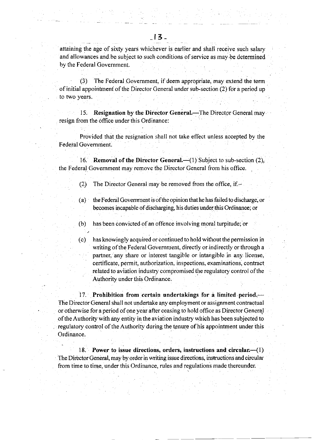(3) The Federal Govemment, ifdeem appropriate, may extend the term of initial appointrnenf of the Director General under sub-section (2) for a period up to two years.

15. Resignation by the Director General.—The Director General may resign from the office under this Ordinance:

Provided that the resignation shall not take effect unless accepted by the Federal Govemment.

16. Removal of the Director General. $-(1)$  Subject to sub-section (2), the Federal Government may remove the Director General from his office.

(2) The Director General may be removed from the office, if. $-$ 

(a) the Federal Government is of the opinion that he has failed to discharge, or becomes incapable of discharging, his duties under this Ordinance; or

(b) has been convicted of an offence involving moral turpitude; or

(c) has knowingly acquired or continued to hold without the permission in writing of the Federal Government, directly or indirectly or through a partner, any share or interest tangible or intangible in any license, certificate, permit, authorization, inspections, examinations, contract related to aviation industry compromised the regulatory control of the Authority under this Ordinance.

 $17.$  Prohibition from certain undertakings for a limited period. $-$ The Director General shalI not undertake any employment or assignment contractual or otherwise for a period of one year after ceasing to hold office as Director General ofthe Authority with any entity in the aviation industry which has been subjected to regulatory control of the Authority during the tenure of his appointment under this Ordinance.

18. Power to issue directions, orders, instructions and circular $-\frac{1}{l}$ The Director General, may by order in writing issue directions, instructions and circular from time to time, under this Ordinance, rules and regulations made thereunder.